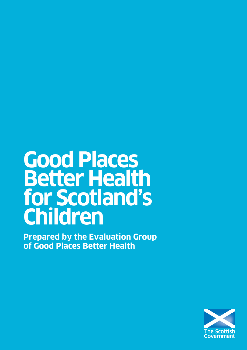# **Good Places Better Health for Scotland's Children**

**Prepared by the Evaluation Group of Good Places Better Health**

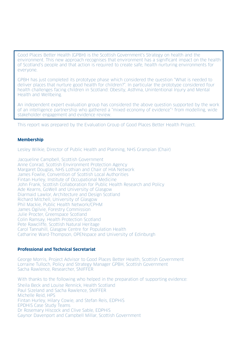Good Places Better Health (GPBH) is the Scottish Government's Strategy on health and the environment. This new approach recognises that environment has a significant impact on the health of Scotland's people and that action is required to create safe, health nurturing environments for everyone.

GPBH has just completed its prototype phase which considered the question "What is needed to deliver places that nurture good health for children?". In particular the prototype considered four health challenges facing children in Scotland: Obesity, Asthma, Unintentional Injury and Mental Health and Wellbeing.

An independent expert evaluation group has considered the above question supported by the work of an intelligence partnership who gathered a "mixed economy of evidence"<sup>1</sup> from modelling, wide stakeholder engagement and evidence review.

This report was prepared by the Evaluation Group of Good Places Better Health Project.

#### **Membership**

Lesley Wilkie, Director of Public Health and Planning, NHS Grampian (Chair)

Jacqueline Campbell, Scottish Government Anne Conrad, Scottish Environment Protection Agency Margaret Douglas, NHS Lothian and Chair of HIA Network James Fowlie, Convention of Scottish Local Authorities Fintan Hurley, Institute of Occupational Medicine John Frank, Scottish Collaboration for Public Health Research and Policy Ade Kearns, GoWell and University of Glasgow Diarmaid Lawlor, Architecture and Design Scotland Richard Mitchell, University of Glasgow Phil Mackie, Public Health Network/CPHM James Ogilvie, Forestry Commission Julie Procter, Greenspace Scotland Colin Ramsay, Health Protection Scotland Pete Rawcliffe, Scottish Natural Heritage Carol Tannahill, Glasgow Centre for Population Health Catharine Ward-Thompson, OPENspace and University of Edinburgh

#### **Professional and Technical Secretariat**

George Morris, Project Advisor to Good Places Better Health, Scottish Government Lorraine Tulloch, Policy and Strategy Manager GPBH, Scottish Government Sacha Rawlence, Researcher, SNIFFER

With thanks to the following who helped in the preparation of supporting evidence: Sheila Beck and Louise Rennick, Health Scotland Paul Sizeland and Sacha Rawlence, SNIFFER Michelle Reid, HPS Fintan Hurley, Hilary Cowie, and Stefan Reis, EDPHiS EPDHiS Case Study Teams Dr Rosemary Hiscock and Clive Sable, EDPHiS Gaynor Davenport and Campbell Millar, Scottish Government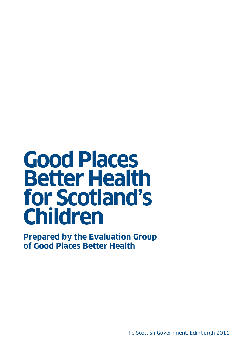# **Good Places Better Health for Scotland's Children**

**Prepared by the Evaluation Group of Good Places Better Health**

The Scottish Government, Edinburgh 2011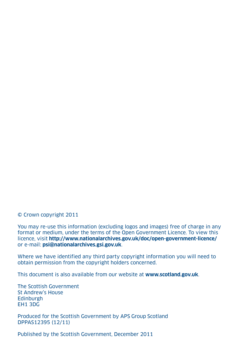© Crown copyright 2011

You may re-use this information (excluding logos and images) free of charge in any format or medium, under the terms of the Open Government Licence. To view this licence, visit **http://www.nationalarchives.gov.uk/doc/open-government-licence/**  or e-mail: **psi@nationalarchives.gsi.gov.uk**.

Where we have identified any third party copyright information you will need to obtain permission from the copyright holders concerned.

This document is also available from our website at **www.scotland.gov.uk**.

The Scottish Government St Andrew's House **Edinburgh** EH1 3DG

Produced for the Scottish Government by APS Group Scotland DPPAS12395 (12/11)

Published by the Scottish Government, December 2011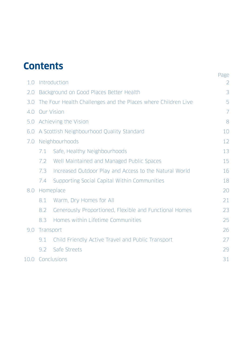# **Contents**

| 1.0  |                                                               | Introduction                                           | Page<br>$\overline{2}$ |
|------|---------------------------------------------------------------|--------------------------------------------------------|------------------------|
| 2.0  | Background on Good Places Better Health                       |                                                        | 3                      |
| 3.0  | The Four Health Challenges and the Places where Children Live |                                                        | 5                      |
| 4.0  | <b>Our Vision</b>                                             |                                                        | $\overline{7}$         |
| 5.0  | Achieving the Vision                                          |                                                        | 8                      |
| 6.0  | A Scottish Neighbourhood Quality Standard                     |                                                        | 10                     |
| 7.0  | Neighbourhoods                                                |                                                        | 12                     |
|      | 7.1                                                           | Safe, Healthy Neighbourhoods                           | 13                     |
|      | 7.2                                                           | Well Maintained and Managed Public Spaces              | 15                     |
|      | 7.3                                                           | Increased Outdoor Play and Access to the Natural World | 16                     |
|      | 7.4                                                           | Supporting Social Capital Within Communities           | 18                     |
| 8.0  | Homeplace                                                     |                                                        | 20                     |
|      | 8.1                                                           | Warm, Dry Homes for All                                | 21                     |
|      | 8.2                                                           | Generously Proportioned, Flexible and Functional Homes | 23                     |
|      | 8.3                                                           | Homes within Lifetime Communities                      | 25                     |
| 9.0  | Transport                                                     |                                                        | 26                     |
|      | 9.1                                                           | Child Friendly Active Travel and Public Transport      | 27                     |
|      | 9.2                                                           | Safe Streets                                           | 29                     |
| 10.0 | Conclusions                                                   |                                                        | 31                     |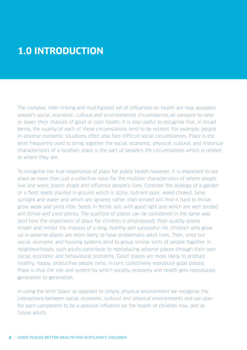## **1.0 INTRODUCTION**

The complex, inter-linking and multifaceted set of influences on health are now accepted: people's social, economic, cultural and environmental circumstances all conspire to raise or lower their chances of good or poor health. It is also useful to recognise that, in broad terms, the quality of each of these circumstances tend to be related. For example, people in adverse economic situations often also face difficult social circumstances. Place is the term frequently used to bring together the social, economic, physical, cultural, and historical characteristics of a location; place is the part of people's life circumstances which is related to where they are.

To recognise the true importance of place for public health however, it is important to see place as more than just a collective noun for the multiple characteristics of where people live and work; places shape and influence people's lives. Consider the analogy of a garden or a field: seeds planted in ground which is stony, nutrient-poor, weed-choked, lacks sunlight and water and which are ignored rather than tended will find it hard to thrive, grow weak and yield little. Seeds in fertile soil, with good light and which are well tended will thrive and yield plenty. The qualities of places can be considered in the same way (and here the importance of place for children is emphasised). Poor quality places hinder and inhibit the chances of a long, healthy and successful life. Children who grow up in adverse places are more likely to have problematic adult lives. Then, since our social, economic and housing systems tend to group similar sorts of people together in neighbourhoods, such adults contribute to reproducing adverse places through their own social, economic and behavioural problems. 'Good' places are more likely to produce healthy, happy, productive people (who, in turn, collectively reproduce good places). Place is thus the site and system by which society, economy and health gets reproduced, generation to generation.

In using the term 'place' as opposed to simply physical environment we recognise the interactions between social, economic, cultural and physical environments and can plan for each component to be a positive influence on the health of children now, and as future adults.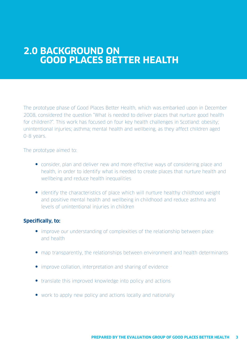### **2.0 BACKGROUND ON GOOD PLACES BETTER HEALTH**

The prototype phase of Good Places Better Health, which was embarked upon in December 2008, considered the question "What is needed to deliver places that nurture good health for children?". This work has focused on four key health challenges in Scotland: obesity; unintentional injuries; asthma; mental health and wellbeing, as they affect children aged 0-8 years.

The prototype aimed to:

- consider, plan and deliver new and more effective ways of considering place and health, in order to identify what is needed to create places that nurture health and wellbeing and reduce health inequalities
- identify the characteristics of place which will nurture healthy childhood weight and positive mental health and wellbeing in childhood and reduce asthma and levels of unintentional injuries in children

#### **Specifically, to:**

- improve our understanding of complexities of the relationship between place and health
- map transparently, the relationships between environment and health determinants
- **•** improve collation, interpretation and sharing of evidence
- **•** translate this improved knowledge into policy and actions
- work to apply new policy and actions locally and nationally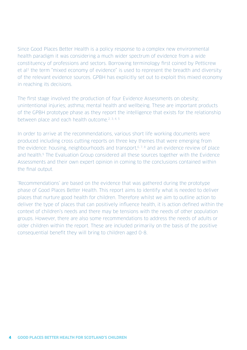Since Good Places Better Health is a policy response to a complex new environmental health paradigm it was considering a much wider spectrum of evidence from a wide constituency of professions and sectors. Borrowing terminology first coined by Petticrew et al<sup>1</sup> the term "mixed economy of evidence" is used to represent the breadth and diversity of the relevant evidence sources. GPBH has explicitly set out to exploit this mixed economy in reaching its decisions.

The first stage involved the production of four Evidence Assessments on obesity; unintentional injuries; asthma; mental health and wellbeing. These are important products of the GPBH prototype phase as they report the intelligence that exists for the relationship between place and each health outcome.<sup>2, 3, 4, 5</sup>

In order to arrive at the recommendations, various short life working documents were produced including cross cutting reports on three key themes that were emerging from the evidence: housing, neighbourhoods and transport,<sup>6, 7, 8</sup> and an evidence review of place and health.<sup>9</sup> The Evaluation Group considered all these sources together with the Evidence Assessments and their own expert opinion in coming to the conclusions contained within the final output.

'Recommendations' are based on the evidence that was gathered during the prototype phase of Good Places Better Health. This report aims to identify what is needed to deliver places that nurture good health for children. Therefore whilst we aim to outline action to deliver the type of places that can positively influence health, it is action defined within the context of children's needs and there may be tensions with the needs of other population groups. However, there are also some recommendations to address the needs of adults or older children within the report. These are included primarily on the basis of the positive consequential benefit they will bring to children aged 0-8.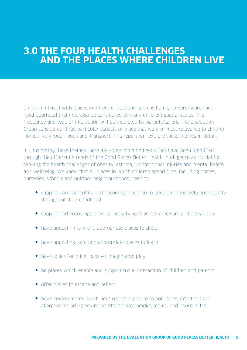### **3.0 THE FOUR HEALTH CHALLENGES AND THE PLACES WHERE CHILDREN LIVE**

Children interact with places in different locations, such as home, nursery/school and neighbourhood that may also be considered at many different spatial scales. The frequency and type of interaction will be mediated by parents/carers. The Evaluation Group considered three particular aspects of place that were of most relevance to children: Homes, Neighbourhoods and Transport. This report will explore these themes in detail.

In considering these themes there are some common needs that have been identified through the different strands of the Good Places Better Health intelligence as crucial for tackling the health challenges of obesity, asthma, unintentional injuries and mental health and wellbeing. We know that all places in which children spend time, including homes, nurseries, schools and outdoor neighbourhoods, need to:

- support good parenting and encourage children to develop cognitively and socially throughout their childhood
- support and encourage physical activity such as active leisure and active play
- have appealing safe and appropriate places to sleep
- have appealing, safe and appropriate places to learn
- have space for quiet, passive, imaginative play
- be places which enable and support social interaction of children and parents
- offer places to escape and reflect
- have environments which limit risk of exposure to pollutants, infections and allergens including environmental tobacco smoke, mould, and house mites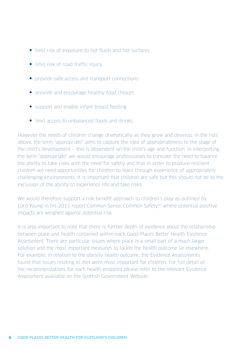- **.** limit risk of exposure to hot fluids and hot surfaces
- limit risk of road traffic injury
- provide safe access and transport connections
- provide and encourage healthy food choices
- support and enable infant breast feeding
- limit access to unbalanced foods and drinks

However the needs of children change dramatically as they grow and develop. In the lists above, the term "appropriate" aims to capture the idea of appropriateness to the stage of the child's development – this is dependent on the child's age and function. In interpreting the term "appropriate" we would encourage professionals to consider the need to balance the ability to take risks with the need for safety and that in order to produce resilient children we need opportunities for children to learn through experience of appropriately challenging environments. It is important that children are safe but this should not be to the exclusion of the ability to experience life and take risks.

We would therefore support a risk-benefit approach to children's play as outlined by Lord Young in his 2011 report Common Sense, Common Safety<sup>10</sup> where potential positive impacts are weighed against potential risk.

It is also important to note that there is further depth of evidence about the relationship between place and health contained within each Good Places Better Health Evidence Assessment. There are particular issues where place is a small part of a much larger solution and the most important measures to tackle the health outcome lie elsewhere. For example, in relation to the obesity health outcome, the Evidence Assessments found that issues relating to diet were most important for children. For full detail of the recommendations for each health endpoint please refer to the relevant Evidence Assessment available on the Scottish Government Website.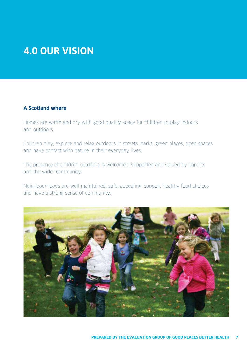# **4.0 OUR VISION**

#### **A Scotland where**

Homes are warm and dry with good quality space for children to play indoors and outdoors.

Children play, explore and relax outdoors in streets, parks, green places, open spaces and have contact with nature in their everyday lives.

The presence of children outdoors is welcomed, supported and valued by parents and the wider community.

Neighbourhoods are well maintained, safe, appealing, support healthy food choices and have a strong sense of community.

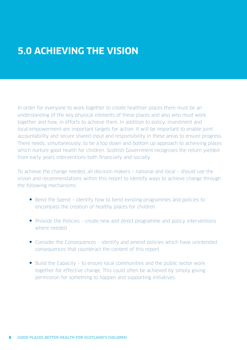## **5.0 ACHIEVING THE VISION**

In order for everyone to work together to create healthier places there must be an understanding of the key physical elements of these places and also who must work together and how, in efforts to achieve them. In addition to policy, investment and local empowerment are important targets for action. It will be important to enable joint accountability and secure shared input and responsibility in these areas to ensure progress. There needs, simultaneously, to be a top down and bottom up approach to achieving places which nurture good health for children. Scottish Government recognises the return yielded from early years interventions both financially and socially.

To achieve the change needed, all decision makers – national and local – should use the vision and recommendations within this report to identify ways to achieve change through the following mechanisms:

- Bend the Spend identify how to bend existing programmes and policies to encompass the creation of healthy places for children
- Provide the Policies create new and direct programme and policy interventions where needed
- Consider the Consequences identify and amend policies which have unintended consequences that counteract the content of this report
- Build the Capacity to ensure local communities and the public sector work together for effective change. This could often be achieved by simply giving permission for something to happen and supporting initiatives.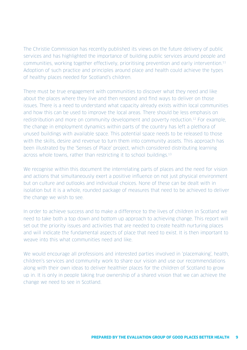The Christie Commission has recently published its views on the future delivery of public services and has highlighted the importance of building public services around people and communities, working together effectively, prioritising prevention and early intervention.<sup>11</sup> Adoption of such practice and principles around place and health could achieve the types of healthy places needed for Scotland's children.

There must be true engagement with communities to discover what they need and like about the places where they live and then respond and find ways to deliver on those issues. There is a need to understand what capacity already exists within local communities and how this can be used to improve the local areas. There should be less emphasis on redistribution and more on community development and poverty reduction.<sup>12</sup> For example, the change in employment dynamics within parts of the country has left a plethora of unused buildings with available space. This potential space needs to be released to those with the skills, desire and revenue to turn them into community assets. This approach has been illustrated by the 'Senses of Place' project, which considered distributing learning across whole towns, rather than restricting it to school buildings.<sup>13</sup>

We recognise within this document the interrelating parts of places and the need for vision and actions that simultaneously exert a positive influence on not just physical environment but on culture and outlooks and individual choices. None of these can be dealt with in isolation but it is a whole, rounded package of measures that need to be achieved to deliver the change we wish to see.

In order to achieve success and to make a difference to the lives of children in Scotland we need to take both a top down and bottom up approach to achieving change. This report will set out the priority issues and activities that are needed to create health nurturing places and will indicate the fundamental aspects of place that need to exist. It is then important to weave into this what communities need and like.

We would encourage all professions and interested parties involved in 'placemaking', health, children's services and community work to share our vision and use our recommendations along with their own ideas to deliver healthier places for the children of Scotland to grow up in. It is only in people taking true ownership of a shared vision that we can achieve the change we need to see in Scotland.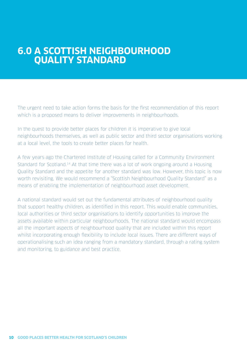### **6.0 A SCOTTISH NEIGHBOURHOOD QUALITY STANDARD**

The urgent need to take action forms the basis for the first recommendation of this report which is a proposed means to deliver improvements in neighbourhoods.

In the quest to provide better places for children it is imperative to give local neighbourhoods themselves, as well as public sector and third sector organisations working at a local level, the tools to create better places for health.

A few years ago the Chartered Institute of Housing called for a Community Environment Standard for Scotland.14 At that time there was a lot of work ongoing around a Housing Quality Standard and the appetite for another standard was low. However, this topic is now worth revisiting. We would recommend a "Scottish Neighbourhood Quality Standard" as a means of enabling the implementation of neighbourhood asset development.

A national standard would set out the fundamental attributes of neighbourhood quality that support healthy children, as identified in this report. This would enable communities, local authorities or third sector organisations to identify opportunities to improve the assets available within particular neighbourhoods. The national standard would encompass all the important aspects of neighbourhood quality that are included within this report whilst incorporating enough flexibility to include local issues. There are different ways of operationalising such an idea ranging from a mandatory standard, through a rating system and monitoring, to guidance and best practice.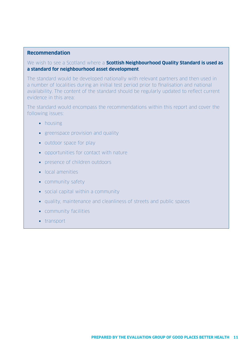#### **Recommendation**

We wish to see a Scotland where a **Scottish Neighbourhood Quality Standard is used as a standard for neighbourhood asset development**.

The standard would be developed nationally with relevant partners and then used in a number of localities during an initial test period prior to finalisation and national availability. The content of the standard should be regularly updated to reflect current evidence in this area:

The standard would encompass the recommendations within this report and cover the following issues:

- housing
- greenspace provision and quality
- outdoor space for play
- opportunities for contact with nature
- presence of children outdoors
- local amenities
- community safety
- social capital within a community
- quality, maintenance and cleanliness of streets and public spaces
- community facilities
- transport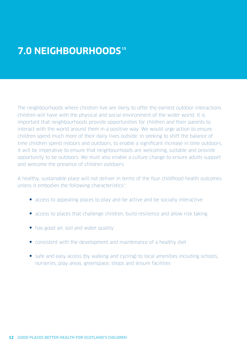# **7.0 NEIGHBOURHOODS <sup>15</sup>**

The neighbourhoods where children live are likely to offer the earliest outdoor interactions children will have with the physical and social environment of the wider world. It is important that neighbourhoods provide opportunities for children and their parents to interact with the world around them in a positive way. We would urge action to ensure children spend much more of their daily lives outside. In seeking to shift the balance of time children spend indoors and outdoors, to enable a significant increase in time outdoors, it will be imperative to ensure that neighbourhoods are welcoming, suitable and provide opportunity to be outdoors. We must also enable a culture change to ensure adults support and welcome the presence of children outdoors.

A healthy, sustainable place will not deliver in terms of the four childhood health outcomes unless it embodies the following characteristics<sup>7</sup>:

- access to appealing places to play and be active and be socially interactive
- access to places that challenge children, build resilience and allow risk taking
- has good air, soil and water quality
- consistent with the development and maintenance of a healthy diet
- safe and easy access (by walking and cycling) to local amenities including schools, nurseries, play areas, greenspace, shops and leisure facilities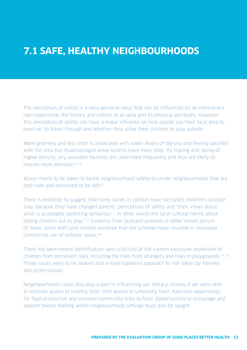## **7.1 SAFE, HEALTHY NEIGHBOURHOODS**

The perception of safety is a very personal issue that can be influenced by an individual's own experience, the history and culture of an area and its physical attributes. However this perception of safety can have a major influence on how people use their local area to exercise, to travel through and whether they allow their children to play outside.

More greenery and less litter is associated with lower levels of obesity and feeling satisfied with the area but disadvantaged areas tend to have more litter, fly tipping and, being of higher density, any available facilities are used more frequently and thus are likely to require more attention.9, 16

Action needs to be taken to tackle neighbourhood safety to create neighbourhoods that are both safe and perceived to be safe.<sup>9</sup>

There is evidence to suggest that home zones in London have increased children's outdoor play, because they have changed parents' perceptions of safety and "their views about what is acceptable parenting behaviour - in other words the local cultural norms about letting children out to play".17 Evidence from Scotland presents a rather mixed picture of home zones with only limited evidence that the schemes have resulted in increased community use of outdoor space.<sup>18</sup>

There has been recent identification (and criticism) of the current excessive protection of children from perceived risks, including the risks from strangers and risks in playgrounds.19, 20 These issues need to be tackled and a more balanced approach to risk taken by families and professionals.

Neighbourhoods could also play a part in influencing our dietary choices if we were able to increase access to healthy food, limit access to unhealthy food, maximise opportunity for food production and increase community links to food. Opportunities to encourage and support breast feeding within neighbourhood settings must also be sought.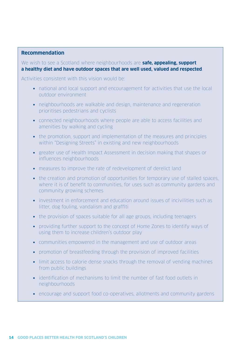#### **Recommendation**

We wish to see a Scotland where neighbourhoods are **safe, appealing, support a healthy diet and have outdoor spaces that are well used, valued and respected**.

Activities consistent with this vision would be:

- national and local support and encouragement for activities that use the local outdoor environment
- neighbourhoods are walkable and design, maintenance and regeneration prioritises pedestrians and cyclists
- connected neighbourhoods where people are able to access facilities and amenities by walking and cycling
- the promotion, support and implementation of the measures and principles within "Designing Streets" in existing and new neighbourhoods
- greater use of Health Impact Assessment in decision making that shapes or influences neighbourhoods
- measures to improve the rate of redevelopment of derelict land
- the creation and promotion of opportunities for temporary use of stalled spaces, where it is of benefit to communities, for uses such as community gardens and community growing schemes
- investment in enforcement and education around issues of incivilities such as litter, dog fouling, vandalism and graffiti
- the provision of spaces suitable for all age groups, including teenagers
- providing further support to the concept of Home Zones to identify ways of using them to increase children's outdoor play
- communities empowered in the management and use of outdoor areas
- promotion of breastfeeding through the provision of improved facilities
- limit access to calorie dense snacks through the removal of vending machines from public buildings
- identification of mechanisms to limit the number of fast food outlets in neighbourhoods
- encourage and support food co-operatives, allotments and community gardens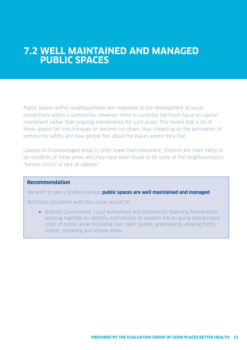### **7.2 WELL MAINTAINED AND MANAGED PUBLIC SPACES**

Public spaces within neighbourhoods are important to the development of social connections within a community. However there is currently too much focus on capital investment rather than ongoing maintenance for such areas. This means that a lot of these spaces fall into disrepair or become run down, thus impacting on the perception of community safety and how people feel about the places where they live.

Upkeep in disadvantaged areas is often lower than elsewhere. Children are more likely to be residents of these areas and they have been found to be some of the neighbourhood's 'fiercest critics' of lack of upkeep.<sup>9</sup>

#### **Recommendation**

We wish to see a Scotland where **public spaces are well maintained and managed**.

Activities consistent with this vision would be

• Scottish Government, Local Authorities and Community Planning Partnerships working together to identify mechanisms to support the on going maintenance costs of public areas including civic open spaces, greenspaces, playing fields, streets, shopping and leisure areas.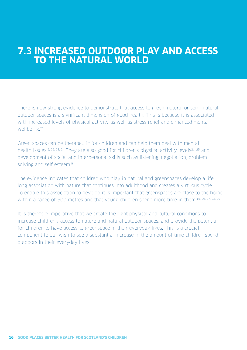### **7.3 INCREASED OUTDOOR PLAY AND ACCESS TO THE NATURAL WORLD**

There is now strong evidence to demonstrate that access to green, natural or semi-natural outdoor spaces is a significant dimension of good health. This is because it is associated with increased levels of physical activity as well as stress relief and enhanced mental wellbeing.<sup>21</sup>

Green spaces can be therapeutic for children and can help them deal with mental health issues.<sup>9, 22, 23, 24</sup> They are also good for children's physical activity levels<sup>21, 25</sup> and development of social and interpersonal skills such as listening, negotiation, problem solving and self esteem.<sup>9</sup>

The evidence indicates that children who play in natural and greenspaces develop a life long association with nature that continues into adulthood and creates a virtuous cycle. To enable this association to develop it is important that greenspaces are close to the home, within a range of 300 metres and that young children spend more time in them.<sup>15, 26, 27, 28, 29</sup>

It is therefore imperative that we create the right physical and cultural conditions to increase children's access to nature and natural outdoor spaces, and provide the potential for children to have access to greenspace in their everyday lives. This is a crucial component to our wish to see a substantial increase in the amount of time children spend outdoors in their everyday lives.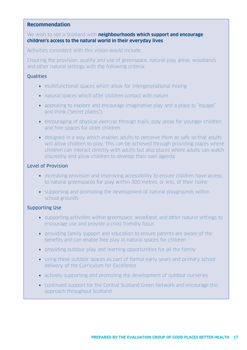#### **Recommendation**

We wish to see a Scotland with **neighbourhoods which support and encourage children's access to the natural world in their everyday lives**.

Activities consistent with this vision would include:

Ensuring the provision, quality and use of greenspace, natural play areas, woodlands and other natural settings with the following criteria:

#### **Oualities**

- multifunctional spaces which allow for intergenerational mixing
- natural spaces which offer children contact with nature
- appealing to explore and encourage imaginative play and a place to "escape" and think ("secret places")
- encouraging of physical exercise through trails, play areas for younger children and free spaces for older children
- designed in a way which enables adults to perceive them as safe so that adults will allow children to play. This can be achieved through providing places where children can interact directly with adults but also places where adults can watch discreetly and allow children to develop their own agenda

#### Level of Provision

- increasing provision and improving accessibility to ensure children have access to natural greenspaces for play within 300 metres, or less, of their home
- supporting and promoting the development of natural playgrounds within school grounds

#### Supporting Use

- supporting activities within greenspace, woodland, and other natural settings to encourage use and provide a child-friendly focus
- providing family support and education to ensure parents are aware of the benefits and can enable free play in natural spaces for children
- providing outdoor play and learning opportunities for all the family
- using these outdoor spaces as part of formal early years and primary school delivery of the Curriculum for Excellence
- actively supporting and promoting the development of outdoor nurseries
- continued support for the Central Scotland Green Network and encourage this approach throughout Scotland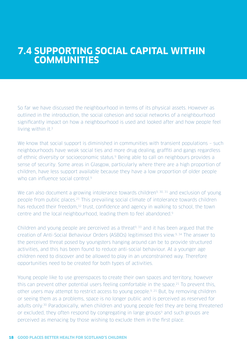### **7.4 SUPPORTING SOCIAL CAPITAL WITHIN COMMUNITIES**

So far we have discussed the neighbourhood in terms of its physical assets. However as outlined in the introduction, the social cohesion and social networks of a neighbourhood significantly impact on how a neighbourhood is used and looked after and how people feel living within it.<sup>3</sup>

We know that social support is diminished in communities with transient populations - such neighbourhoods have weak social ties and more drug dealing, graffiti and gangs regardless of ethnic diversity or socioeconomic status.<sup>9</sup> Being able to call on neighbours provides a sense of security. Some areas in Glasgow, particularly where there are a high proportion of children, have less support available because they have a low proportion of older people who can influence social control.<sup>9</sup>

We can also document a growing intolerance towards children<sup>9, 30, 31</sup> and exclusion of young people from public places.21 This prevailing social climate of intolerance towards children has reduced their freedom,<sup>32</sup> trust, confidence and agency in walking to school, the town centre and the local neighbourhood, leading them to feel abandoned.<sup>9</sup>

Children and young people are perceived as a threat<sup>9, 33</sup> and it has been argued that the creation of Anti-Social Behaviour Orders (ASBOs) legitimised this view.9, 34 The answer to the perceived threat posed by youngsters hanging around can be to provide structured activities, and this has been found to reduce anti-social behaviour. At a younger age children need to discover and be allowed to play in an unconstrained way. Therefore opportunities need to be created for both types of activities.

Young people like to use greenspaces to create their own spaces and territory, however this can prevent other potential users feeling comfortable in the space.<sup>21</sup> To prevent this, other users may attempt to restrict access to young people.9, 21 But, by removing children or seeing them as a problems, space is no longer public and is perceived as reserved for adults only.<sup>30</sup> Paradoxically, when children and young people feel they are being threatened or excluded, they often respond by congregating in large groups<sup>9</sup> and such groups are perceived as menacing by those wishing to exclude them in the first place.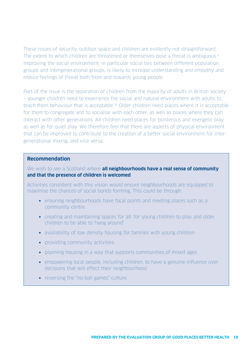These issues of security, outdoor space and children are evidently not straightforward. The extent to which children are threatened or themselves pose a threat is ambiguous.<sup>9</sup> Improving the social environment, in particular social ties between different population groups and intergenerational groups, is likely to increase understanding and empathy and reduce feelings of threat both from and towards young people.

Part of the issue is the separation of children from the majority of adults in British society – younger children need to experience the social and natural environment with adults to teach them behaviour that is acceptable.<sup>35</sup> Older children need places where it is acceptable for them to congregate and to socialise with each other, as well as places where they can interact with other generations. All children need places for boisterous and energetic play as well as for quiet play. We therefore feel that there are aspects of physical environment that can be improved to contribute to the creation of a better social environment for intergenerational mixing, and vice versa.

#### **Recommendation**

We wish to see a Scotland where **all neighbourhoods have a real sense of community and that the presence of children is welcomed**.

Activities consistent with this vision would ensure neighbourhoods are equipped to maximise the chances of social bonds forming. This could be through:

- ensuring neighbourhoods have focal points and meeting places such as a community centre
- creating and maintaining spaces for all: for young children to play and older children to be able to 'hang around'
- availability of low density housing for families with young children
- providing community activities
- planning housing in a way that supports communities of mixed ages
- empowering local people, including children, to have a genuine influence over decisions that will effect their neighbourhood
- reversing the "no ball games" culture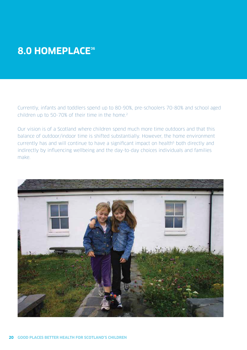# **8.0 HOMEPLACE36**

Currently, infants and toddlers spend up to 80-90%, pre-schoolers 70-80% and school aged children up to 50-70% of their time in the home.<sup>2</sup>

Our vision is of a Scotland where children spend much more time outdoors and that this balance of outdoor/indoor time is shifted substantially. However, the home environment currently has and will continue to have a significant impact on health<sup>6</sup> both directly and indirectly by influencing wellbeing and the day-to-day choices individuals and families make.

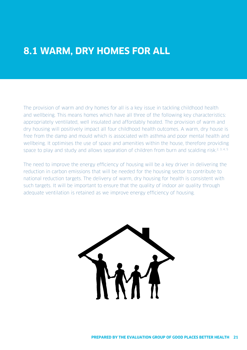## **8.1 WARM, DRY HOMES FOR ALL**

The provision of warm and dry homes for all is a key issue in tackling childhood health and wellbeing. This means homes which have all three of the following key characteristics: appropriately ventilated, well insulated and affordably heated. The provision of warm and dry housing will positively impact all four childhood health outcomes. A warm, dry house is free from the damp and mould which is associated with asthma and poor mental health and wellbeing. It optimises the use of space and amenities within the house, therefore providing space to play and study and allows separation of children from burn and scalding risk.<sup>2, 3, 4, 5</sup>

The need to improve the energy efficiency of housing will be a key driver in delivering the reduction in carbon emissions that will be needed for the housing sector to contribute to national reduction targets. The delivery of warm, dry housing for health is consistent with such targets. It will be important to ensure that the quality of indoor air quality through adequate ventilation is retained as we improve energy efficiency of housing.

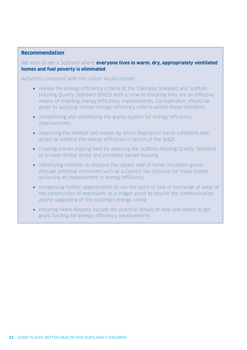#### **Recommendation**

We wish to see a Scotland where **everyone lives in warm, dry, appropriately ventilated homes and fuel poverty is eliminated**.

Activities consistent with this vision would include:

- review the energy efficiency criteria of the Tolerable Standard and Scottish Housing Quality Standard (SHQS) with a view to ensuring they are an effective means of enabling energy efficiency improvements. Consideration should be given to applying stricter energy efficiency criteria within these standards
- streamlining and simplifying the grants system for energy efficiency improvements
- improving the method and means by which Registered Social Landlords take action to address the energy efficiency criterion of the SHQS
- creating a level playing field by applying the Scottish Housing Quality Standard to private rented sector and privately owned housing
- identifying methods to improve the uptake rate of home insulation grants through potential incentives such as a Council Tax discount for those homes achieving an improvement in energy efficiency
- recognising further opportunities to use the point of sale or exchange of lease or the construction of extensions as a trigger-point to require the communication and/or upgrading of the building's energy rating
- ensuring Home Reports include the practical details of how and where to get grant funding for energy efficiency improvements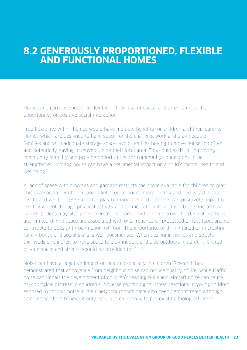### **8.2 GENEROUSLY PROPORTIONED, FLEXIBLE AND FUNCTIONAL HOMES**

Homes and gardens should be flexible in their use of space, and offer families the opportunity for positive social interaction.

True flexibility within homes would have multiple benefits for children and their parents. Homes which are designed to have space for the changing work and play needs of families and with adequate storage space, avoid families having to move house too often and potentially having to move outside their local area. This could assist in improving community stability and provide opportunities for community connections to be strengthened. Moving house can have a detrimental impact on a child's mental health and wellbeing.<sup>2</sup>

A lack of space within homes and gardens restricts the space available for children to play. This is associated with increased likelihood of unintentional injury and decreased mental health and wellbeing.<sup>2, 3</sup> Space for play both indoors and outdoors can positively impact on healthy weight through physical activity and on mental health and wellbeing and asthma. Larger gardens may also provide greater opportunity for home grown food. Small kitchens and limited dining space are associated with over-reliance on processed or fast food, and so contribute to obesity through poor nutrition. The importance of dining together in creating family bonds and social skills is well documented. When designing homes and streets the needs of children to have space to play indoors and also outdoors in gardens, shared private space and streets, should be provided for.<sup>2, 3, 4, 5</sup>

Noise can have a negative impact on health, especially in children. Research has demonstrated that annoyance from neighbour noise can reduce quality of life, while traffic noise can impair the development of children's reading skills and aircraft noise can cause psychological distress in children.37 Adverse psychological stress reactions in young children exposed to chronic noise in their neighbourhoods have also been demonstrated although some researchers believe it only occurs in children with pre-existing biological risk.<sup>37</sup>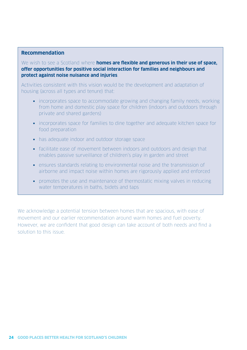#### **Recommendation**

We wish to see a Scotland where **homes are flexible and generous in their use of space, offer opportunities for positive social interaction for families and neighbours and protect against noise nuisance and injuries**.

Activities consistent with this vision would be the development and adaptation of housing (across all types and tenure) that:

- incorporates space to accommodate growing and changing family needs, working from home and domestic play space for children (indoors and outdoors through private and shared gardens)
- incorporates space for families to dine together and adequate kitchen space for food preparation
- has adequate indoor and outdoor storage space
- facilitate ease of movement between indoors and outdoors and design that enables passive surveillance of children's play in garden and street
- ensures standards relating to environmental noise and the transmission of airborne and impact noise within homes are rigorously applied and enforced
- promotes the use and maintenance of thermostatic mixing valves in reducing water temperatures in baths, bidets and taps

We acknowledge a potential tension between homes that are spacious, with ease of movement and our earlier recommendation around warm homes and fuel poverty. However, we are confident that good design can take account of both needs and find a solution to this issue.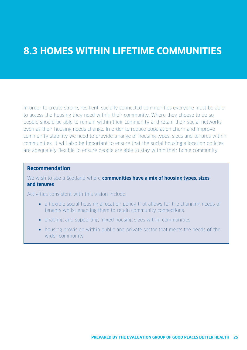## **8.3 HOMES WITHIN LIFETIME COMMUNITIES**

In order to create strong, resilient, socially connected communities everyone must be able to access the housing they need within their community. Where they choose to do so, people should be able to remain within their community and retain their social networks even as their housing needs change. In order to reduce population churn and improve community stability we need to provide a range of housing types, sizes and tenures within communities. It will also be important to ensure that the social housing allocation policies are adequately flexible to ensure people are able to stay within their home community.

#### **Recommendation**

We wish to see a Scotland where **communities have a mix of housing types, sizes and tenures**.

Activities consistent with this vision include:

- a flexible social housing allocation policy that allows for the changing needs of tenants whilst enabling them to retain community connections
- enabling and supporting mixed housing sizes within communities
- housing provision within public and private sector that meets the needs of the wider community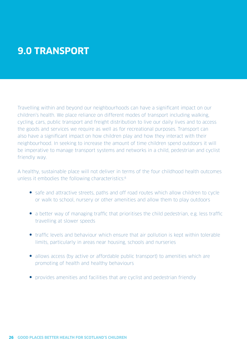### **TEXT 9.0 TRANSPORT**

Travelling within and beyond our neighbourhoods can have a significant impact on our children's health. We place reliance on different modes of transport including walking, cycling, cars, public transport and freight distribution to live our daily lives and to access the goods and services we require as well as for recreational purposes. Transport can also have a significant impact on how children play and how they interact with their neighbourhood. In seeking to increase the amount of time children spend outdoors it will be imperative to manage transport systems and networks in a child, pedestrian and cyclist friendly way.

A healthy, sustainable place will not deliver in terms of the four childhood health outcomes unless it embodies the following characteristics:<sup>8</sup>

- safe and attractive streets, paths and off road routes which allow children to cycle or walk to school, nursery or other amenities and allow them to play outdoors
- a better way of managing traffic that prioritises the child pedestrian, e.g. less traffic travelling at slower speeds
- traffic levels and behaviour which ensure that air pollution is kept within tolerable limits, particularly in areas near housing, schools and nurseries
- allows access (by active or affordable public transport) to amenities which are promoting of health and healthy behaviours
- provides amenities and facilities that are cyclist and pedestrian friendly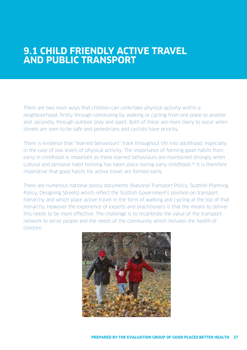### **9.1 CHILD FRIENDLY ACTIVE TRAVEL AND PUBLIC TRANSPORT**

There are two main ways that children can undertake physical activity within a neighbourhood: firstly through commuting by walking or cycling from one place to another and, secondly, through outdoor play and sport. Both of these are more likely to occur when streets are seen to be safe and pedestrians and cyclists have priority.

There is evidence that "learned behaviours" track throughout life into adulthood, especially in the case of low levels of physical activity. The importance of forming good habits from early in childhood is important as these learned behaviours are maintained strongly when cultural and personal habit forming has taken place during early childhood.<sup>38</sup> It is therefore imperative that good habits for active travel are formed early.

There are numerous national policy documents (National Transport Policy, Scottish Planning Policy, Designing Streets) which reflect the Scottish Government's position on transport hierarchy and which place active travel in the form of walking and cycling at the top of that hierarchy. However the experience of experts and practitioners is that the means to deliver this needs to be more effective. The challenge is to recalibrate the value of the transport network to serve people and the needs of the community which includes the health of children.

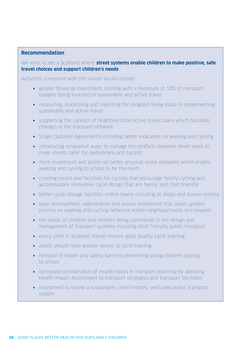#### **Recommendation**

We wish to see a Scotland where **street systems enable children to make positive, safe travel choices and support children's needs**.

Activities consistent with this vision would include:

- greater financial investment, starting with a minimum of 10% of transport budgets being invested in sustainable and active travel
- measuring, monitoring and reporting the progress being made in implementing sustainable and active travel
- supporting the concept of neighbourhood active travel plans which facilitate changes in the transport network
- Single Outcome Agreements including better indicators on walking and cycling
- introducing innovative ways to manage the conflicts between street users to make streets safer for pedestrians and cyclists
- more investment and action on better physical street networks which enable walking and cycling to school to be the norm
- creating routes and facilities for cyclists that encourage family cycling and accommodate innovative cycle design that are family and child friendly
- better cycle storage facilities within towns including at shops and leisure centres
- local development, regeneration and access investment that places greater priority on walking and cycling networks within neighbourhoods and beyond
- the needs of children and families being considered in the design and management of transport systems including child friendly public transport
- every child in Scotland should receive good quality cycle training
- adults should have greater access to cycle training
- removal of health and safety barriers preventing young children cycling to school
- increased consideration of health issues in transport planning by applying Health Impact Assessment to transport strategies and transport decisions
- investment to create a sustainable, child friendly, well used public transport system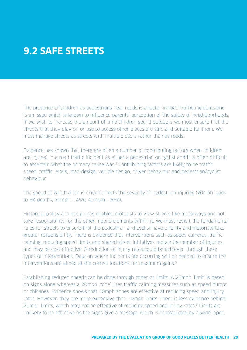### **9.2 SAFE STREETS**

The presence of children as pedestrians near roads is a factor in road traffic incidents and is an issue which is known to influence parents' perception of the safety of neighbourhoods. If we wish to increase the amount of time children spend outdoors we must ensure that the streets that they play on or use to access other places are safe and suitable for them. We must manage streets as streets with multiple users rather than as roads.

Evidence has shown that there are often a number of contributing factors when children are injured in a road traffic incident as either a pedestrian or cyclist and it is often difficult to ascertain what the primary cause was.<sup>3</sup> Contributing factors are likely to be traffic speed, traffic levels, road design, vehicle design, driver behaviour and pedestrian/cyclist behaviour.

The speed at which a car is driven affects the severity of pedestrian injuries (20mph leads to 5% deaths; 30mph – 45%; 40 mph – 85%).

Historical policy and design has enabled motorists to view streets like motorways and not take responsibility for the other mobile elements within it. We must revisit the fundamental rules for streets to ensure that the pedestrian and cyclist have priority and motorists take greater responsibility. There is evidence that interventions such as speed cameras, traffic calming, reducing speed limits and shared street initiatives reduce the number of injuries and may be cost-effective. A reduction of injury rates could be achieved through these types of interventions. Data on where incidents are occurring will be needed to ensure the interventions are aimed at the correct locations for maximum gains.<sup>3</sup>

Establishing reduced speeds can be done through zones or limits. A 20mph 'limit' is based on signs alone whereas a 20mph 'zone' uses traffic calming measures such as speed humps or chicanes. Evidence shows that 20mph zones are effective at reducing speed and injury rates. However, they are more expensive than 20mph limits. There is less evidence behind 20mph limits, which may not be effective at reducing speed and injury rates.<sup>3</sup> Limits are unlikely to be effective as the signs give a message which is contradicted by a wide, open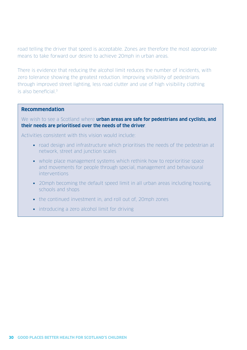road telling the driver that speed is acceptable. Zones are therefore the most appropriate means to take forward our desire to achieve 20mph in urban areas.

There is evidence that reducing the alcohol limit reduces the number of incidents, with zero tolerance showing the greatest reduction. Improving visibility of pedestrians through improved street lighting, less road clutter and use of high visibility clothing is also beneficial. $3$ 

#### **Recommendation**

We wish to see a Scotland where **urban areas are safe for pedestrians and cyclists, and their needs are prioritised over the needs of the driver**.

Activities consistent with this vision would include:

- road design and infrastructure which prioritises the needs of the pedestrian at network, street and junction scales
- whole place management systems which rethink how to reprioritise space and movements for people through special, management and behavioural interventions
- 20mph becoming the default speed limit in all urban areas including housing, schools and shops
- the continued investment in, and roll out of, 20mph zones
- introducing a zero alcohol limit for driving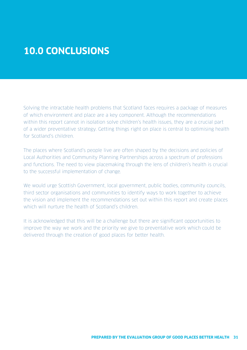# **10.0 CONCLUSIONS**

Solving the intractable health problems that Scotland faces requires a package of measures of which environment and place are a key component. Although the recommendations within this report cannot in isolation solve children's health issues, they are a crucial part of a wider preventative strategy. Getting things right on place is central to optimising health for Scotland's children.

The places where Scotland's people live are often shaped by the decisions and policies of Local Authorities and Community Planning Partnerships across a spectrum of professions and functions. The need to view placemaking through the lens of children's health is crucial to the successful implementation of change.

We would urge Scottish Government, local government, public bodies, community councils, third sector organisations and communities to identify ways to work together to achieve the vision and implement the recommendations set out within this report and create places which will nurture the health of Scotland's children.

It is acknowledged that this will be a challenge but there are significant opportunities to improve the way we work and the priority we give to preventative work which could be delivered through the creation of good places for better health.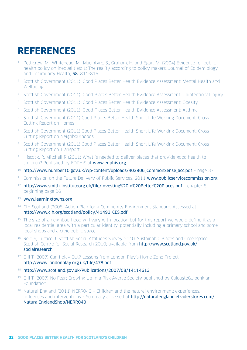# **REFERENCES**

- 1 Petticrew, M., Whitehead, M., Macintyre, S., Graham, H. and Egan, M. (2004) Evidence for public health policy on inequalities: 1: The reality according to policy makers. Journal of Epidemiology and Community Health, 58, 811-816
- 2 Scottish Government (2011), Good Places Better Health Evidence Assessment: Mental Health and Wellbeing
- 3 Scottish Government (2011), Good Places Better Health Evidence Assessment: Unintentional injury
- 4 Scottish Government (2011), Good Places Better Health Evidence Assessment: Obesity
- 5 Scottish Government (2011), Good Places Better Health Evidence Assessment: Asthma
- 6 Scottish Government (2011) Good Places Better Health Short Life Working Document: Cross Cutting Report on Homes
- 7 Scottish Government (2011) Good Places Better Health Short Life Working Document: Cross Cutting Report on Neighbourhoods
- 8 Scottish Government (2011) Good Places Better Health Short Life Working Document: Cross Cutting Report on Transport
- 9 Hiscock, R, Mitchell R (2011) What is needed to deliver places that provide good health to children? Published by EDPHiS at www.edphis.org
- 10 http://www.number10.gov.uk/wp-content/uploads/402906\_CommonSense\_acc.pdf page 37
- <sup>11</sup> Commission on the Future Delivery of Public Services, 2011 www.publicservicecommission.org
- <sup>12</sup> http://www.smith-instituteorg.uk/file/Investing%20in%20Better%20Places.pdf chapter 8 beginning page 96
- <sup>13</sup> www.learningtowns.org
- <sup>14</sup> CIH Scotland (2008) Action Plan for a Community Environment Standard. Accessed at http://www.cih.org/scotland/policy/41493\_CES.pdf
- <sup>15</sup> The size of a neighbourhood will vary with location but for this report we would define it as a local residential area with a particular identity, potentially including a primary school and some local shops and a civic public space
- <sup>16</sup> Reid S, Curtice J. Scottish Social Attitudes Survey 2010: Sustainable Places and Greenspace: Scottish Centre for Social Research 2010; available from http://www.scotland.gov.uk/ socialresearch
- <sup>17</sup> Gill T (2007) Can I play Out? Lessons from London Play's Home Zone Project http://www.londonplay.org.uk/file/478.pdf
- <sup>18</sup> http://www.scotland.gov.uk/Publications/2007/08/14114613
- <sup>19</sup> Gill T (2007) No Fear: Growing Up in a Risk Averse Society published by CalousteGulbenkian Foundation
- <sup>20</sup> Natural England (2011) NERR040 Children and the natural environment: experiences, influences and interventions - Summary accessed at http://naturalengland.etraderstores.com/ NaturalEnglandShop/NERR040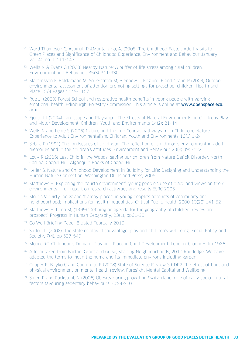- <sup>21</sup> Ward Thompson C, Aspinall P &Montarzino, A. (2008) The Childhood Factor: Adult Visits to Green Places and Significance of Childhood Experience, Environment and Behaviour January vol. 40 no. 1 111-143
- <sup>22</sup> Wells N & Evans G (2003) Nearby Nature: A buffer of life stress among rural children, Environment and Behaviour. 35(3) 311-330
- <sup>23</sup> Martensson F, Boldemann M, Soderstrom M, Blennow J, Englund E and Grahn P (2009) Outdoor environmental assessment of attention promoting settings for preschool children. Health and Place 15/4 Pages 1149-1157
- <sup>24</sup> Roe J. (2009) Forest School and restorative health benefits in young people with varying emotional health. Edinburgh: Forestry Commission. This article is online at www.openspace.eca. ac.uk
- <sup>25</sup> Fiortoft I (2004) Landscape and Playscape: The Effects of Natural Environments on Childrens Play and Motor Development. Children, Youth and Environments 14(2): 21-44
- <sup>26</sup> Wells N and Lekie S (2006) Nature and the Life Course: pathways from Childhood Nature Experience to Adult Environmentalism. Children, Youth and Environments 16(1):1-24
- <sup>27</sup> Sebba R (1991) The landscapes of childhood. The reflection of childhood's environment in adult memories and in the children's attitudes. Environment and Behaviour 23(4):395-422
- <sup>28</sup> Louv R (2005) Last Child in the Woods: saving our children from Nature Deficit Disorder. North Carlina, Chapel Hill, Algonquin Books of Chapel Hill
- <sup>29</sup> Keller S. Nature and Childhood Development in Building for Life: Designing and Understanding the Human Nature Connection. Washington DC: Island Press, 2005
- <sup>30</sup> Matthews H, Exploring the 'fourth environment': young people's use of place and views on their environments – full report on research activities and results ESRC 2005
- <sup>31</sup> Morris V. 'Dirty looks' and 'trampy places' in young people's accounts of community and neighbourhood: implications for health inequalities. Critical Public Health 2000 10(20):141-52
- <sup>32</sup> Matthews H, Limb M, (1999) 'Defining an agenda for the geography of children: review and prospect', Progress in Human Geography, 23(1), pp61-90
- <sup>33</sup> Go Well Briefing Paper 8 dated February 2010
- <sup>34</sup> Sutton L. (2008) 'The state of play: disadvantage, play and children's wellbeing', Social Policy and Society, 7(4), pp 537-549
- <sup>35</sup> Moore RC. Childhood's Domain: Play and Place in Child Development: London: Croom Helm 1986
- <sup>36</sup> A term taken from Barton, Grant and Guise, Shaping Neighbourhoods, 2010 Routledge. We have adapted the terms to mean the home and its immediate environs including garden.
- <sup>37</sup> Cooper R, Boyko C and Codinhoto R (2008) State of Science Review SR-DR2 The effect of built and physical environment on mental health review. Foresight Mental Capital and Wellbeing
- <sup>38</sup> Suter, P and Ruckstuhl, N (2006) Obesity during growth in Switzerland: role of early socio-cultural factors favouring sedentary behaviours 30:S4-S10